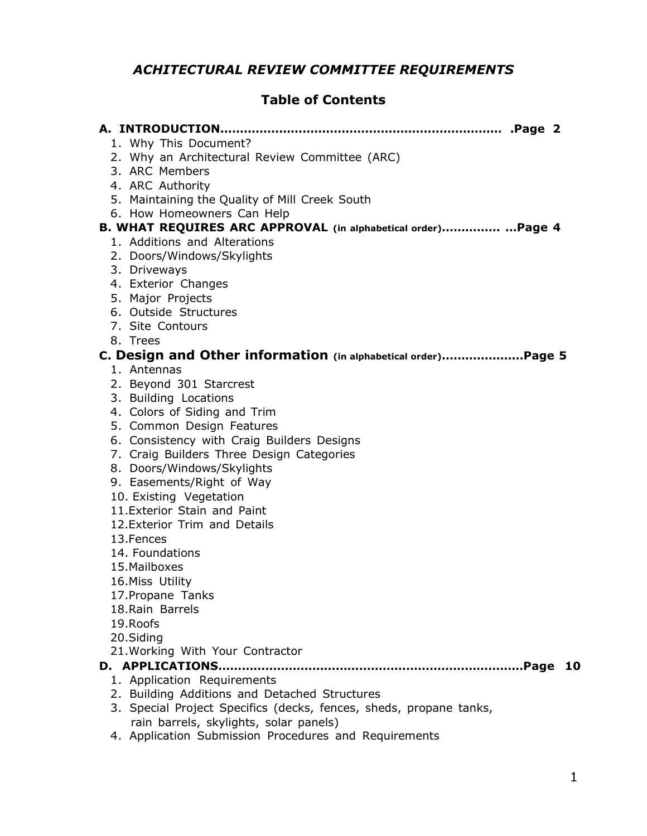## *ACHITECTURAL REVIEW COMMITTEE REQUIREMENTS*

### **Table of Contents**

| 1. Why This Document?                                              |
|--------------------------------------------------------------------|
| 2. Why an Architectural Review Committee (ARC)                     |
| 3. ARC Members                                                     |
| 4. ARC Authority                                                   |
| 5. Maintaining the Quality of Mill Creek South                     |
| 6. How Homeowners Can Help                                         |
| B. WHAT REQUIRES ARC APPROVAL (in alphabetical order)  Page 4      |
| 1. Additions and Alterations<br>2. Doors/Windows/Skylights         |
| 3. Driveways                                                       |
| 4. Exterior Changes                                                |
| 5. Major Projects                                                  |
| 6. Outside Structures                                              |
| 7. Site Contours                                                   |
| 8. Trees                                                           |
| C. Design and Other information (in alphabetical order)Page 5      |
| 1. Antennas                                                        |
| 2. Beyond 301 Starcrest                                            |
| 3. Building Locations                                              |
| 4. Colors of Siding and Trim                                       |
| 5. Common Design Features                                          |
| 6. Consistency with Craig Builders Designs                         |
| 7. Craig Builders Three Design Categories                          |
| 8. Doors/Windows/Skylights                                         |
| 9. Easements/Right of Way                                          |
| 10. Existing Vegetation                                            |
| 11. Exterior Stain and Paint                                       |
| 12. Exterior Trim and Details<br>13. Fences                        |
| 14. Foundations                                                    |
| 15. Mailboxes                                                      |
| 16. Miss Utility                                                   |
| 17. Propane Tanks                                                  |
| 18. Rain Barrels                                                   |
| 19. Roofs                                                          |
| 20.Siding                                                          |
| 21. Working With Your Contractor                                   |
| .Page<br><b>10</b>                                                 |
| 1. Application Requirements                                        |
| 2. Building Additions and Detached Structures                      |
| 3. Special Project Specifics (decks, fences, sheds, propane tanks, |

rain barrels, skylights, solar panels) 4. Application Submission Procedures and Requirements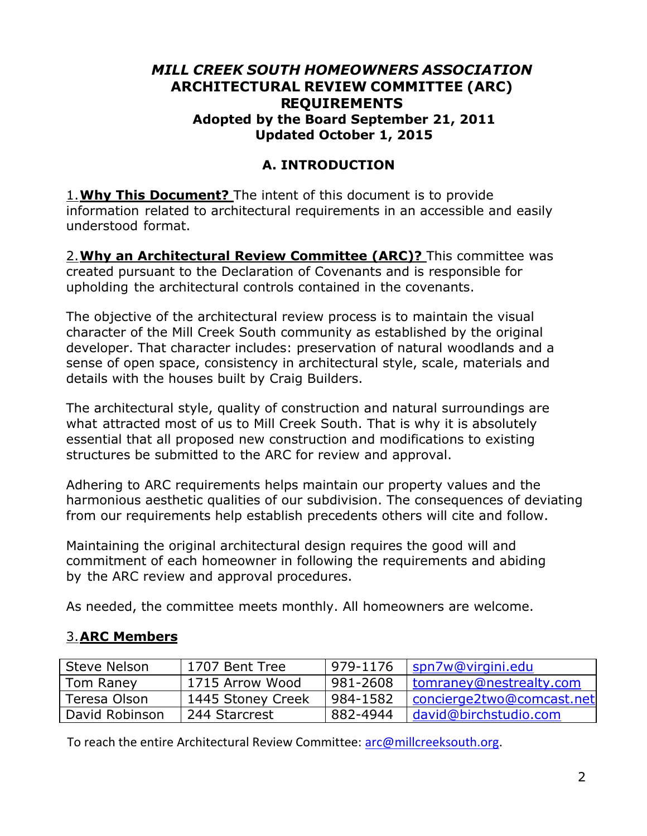### *MILL CREEK SOUTH HOMEOWNERS ASSOCIATION* **ARCHITECTURAL REVIEW COMMITTEE (ARC) REQUIREMENTS Adopted by the Board September 21, 2011 Updated October 1, 2015**

## **A. INTRODUCTION**

1.**Why This Document?** The intent of this document is to provide information related to architectural requirements in an accessible and easily understood format.

2.**Why an Architectural Review Committee (ARC)?** This committee was created pursuant to the Declaration of Covenants and is responsible for upholding the architectural controls contained in the covenants.

The objective of the architectural review process is to maintain the visual character of the Mill Creek South community as established by the original developer. That character includes: preservation of natural woodlands and a sense of open space, consistency in architectural style, scale, materials and details with the houses built by Craig Builders.

The architectural style, quality of construction and natural surroundings are what attracted most of us to Mill Creek South. That is why it is absolutely essential that all proposed new construction and modifications to existing structures be submitted to the ARC for review and approval.

Adhering to ARC requirements helps maintain our property values and the harmonious aesthetic qualities of our subdivision. The consequences of deviating from our requirements help establish precedents others will cite and follow.

Maintaining the original architectural design requires the good will and commitment of each homeowner in following the requirements and abiding by the ARC review and approval procedures.

As needed, the committee meets monthly. All homeowners are welcome.

## 3.**ARC Members**

| <b>Steve Nelson</b> | 1707 Bent Tree    | 979-1176 | spn7w@virgini.edu         |
|---------------------|-------------------|----------|---------------------------|
| Tom Raney           | 1715 Arrow Wood   | 981-2608 | tomraney@nestrealty.com   |
| Teresa Olson        | 1445 Stoney Creek | 984-1582 | concierge2two@comcast.net |
| David Robinson      | 244 Starcrest     | 882-4944 | david@birchstudio.com     |

To reach the entire Architectural Review Committee: [arc@millcreeksouth.org.](mailto:arc@millcreeksouth.org)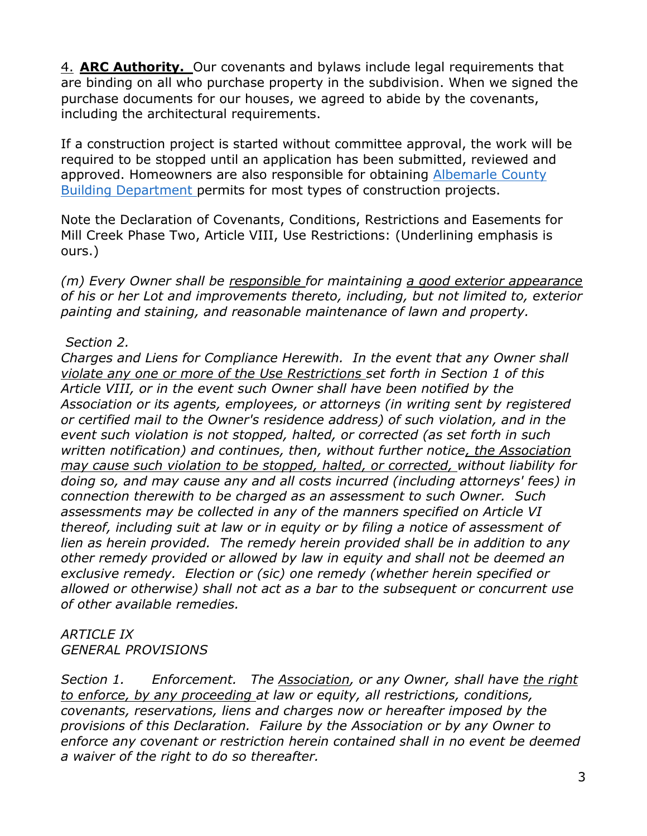4. **ARC Authority.** Our covenants and bylaws include legal requirements that are binding on all who purchase property in the subdivision. When we signed the purchase documents for our houses, we agreed to abide by the covenants, including the architectural requirements.

If a construction project is started without committee approval, the work will be required to be stopped until an application has been submitted, reviewed and approved. Homeowners are also responsible for obtaining Albemarle County Building Department permits for most types of construction projects.

Note the Declaration of Covenants, Conditions, Restrictions and Easements for Mill Creek Phase Two, Article VIII, Use Restrictions: (Underlining emphasis is ours.)

*(m) Every Owner shall be responsible for maintaining a good exterior appearance of his or her Lot and improvements thereto, including, but not limited to, exterior painting and staining, and reasonable maintenance of lawn and property.*

#### *Section 2.*

*Charges and Liens for Compliance Herewith. In the event that any Owner shall violate any one or more of the Use Restrictions set forth in Section 1 of this Article VIII, or in the event such Owner shall have been notified by the Association or its agents, employees, or attorneys (in writing sent by registered or certified mail to the Owner's residence address) of such violation, and in the event such violation is not stopped, halted, or corrected (as set forth in such written notification) and continues, then, without further notice, the Association may cause such violation to be stopped, halted, or corrected, without liability for doing so, and may cause any and all costs incurred (including attorneys' fees) in connection therewith to be charged as an assessment to such Owner. Such assessments may be collected in any of the manners specified on Article VI thereof, including suit at law or in equity or by filing a notice of assessment of lien as herein provided. The remedy herein provided shall be in addition to any other remedy provided or allowed by law in equity and shall not be deemed an exclusive remedy. Election or (sic) one remedy (whether herein specified or allowed or otherwise) shall not act as a bar to the subsequent or concurrent use of other available remedies.*

#### *ARTICLE IX GENERAL PROVISIONS*

*Section 1. Enforcement. The Association, or any Owner, shall have the right to enforce, by any proceeding at law or equity, all restrictions, conditions, covenants, reservations, liens and charges now or hereafter imposed by the provisions of this Declaration. Failure by the Association or by any Owner to enforce any covenant or restriction herein contained shall in no event be deemed a waiver of the right to do so thereafter.*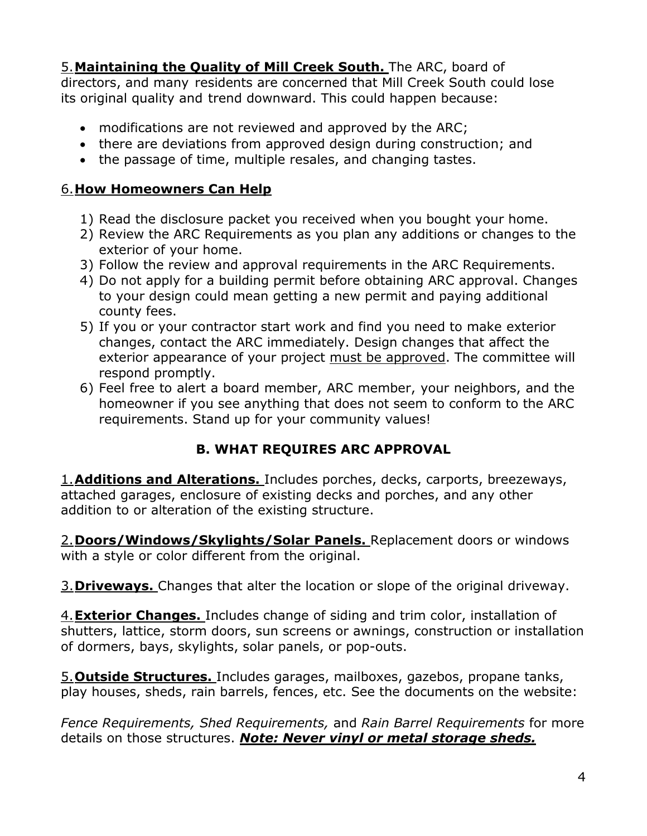5.**Maintaining the Quality of Mill Creek South.** The ARC, board of directors, and many residents are concerned that Mill Creek South could lose its original quality and trend downward. This could happen because:

- modifications are not reviewed and approved by the ARC;
- there are deviations from approved design during construction; and
- the passage of time, multiple resales, and changing tastes.

## 6.**How Homeowners Can Help**

- 1) Read the disclosure packet you received when you bought your home.
- 2) Review the ARC Requirements as you plan any additions or changes to the exterior of your home.
- 3) Follow the review and approval requirements in the ARC Requirements.
- 4) Do not apply for a building permit before obtaining ARC approval. Changes to your design could mean getting a new permit and paying additional county fees.
- 5) If you or your contractor start work and find you need to make exterior changes, contact the ARC immediately. Design changes that affect the exterior appearance of your project must be approved. The committee will respond promptly.
- 6) Feel free to alert a board member, ARC member, your neighbors, and the homeowner if you see anything that does not seem to conform to the ARC requirements. Stand up for your community values!

# **B. WHAT REQUIRES ARC APPROVAL**

1.**Additions and Alterations.** Includes porches, decks, carports, breezeways, attached garages, enclosure of existing decks and porches, and any other addition to or alteration of the existing structure.

2.**Doors/Windows/Skylights/Solar Panels.** Replacement doors or windows with a style or color different from the original.

3.**Driveways.** Changes that alter the location or slope of the original driveway.

4.**Exterior Changes.** Includes change of siding and trim color, installation of shutters, lattice, storm doors, sun screens or awnings, construction or installation of dormers, bays, skylights, solar panels, or pop-outs.

5.**Outside Structures.** Includes garages, mailboxes, gazebos, propane tanks, play houses, sheds, rain barrels, fences, etc. See the documents on the website:

*Fence Requirements, Shed Requirements,* and *Rain Barrel Requirements* for more details on those structures. *Note: Never vinyl or metal storage sheds.*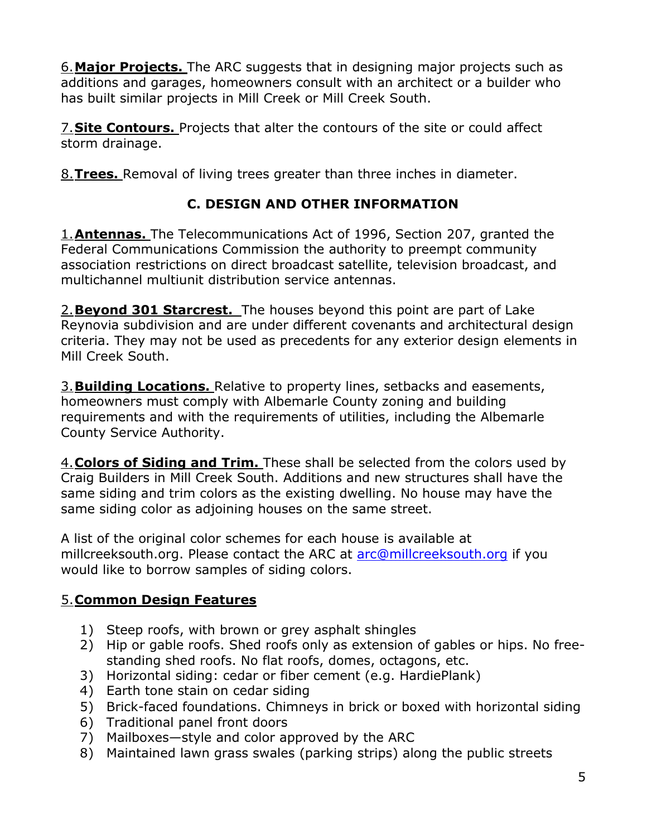6.**Major Projects.** The ARC suggests that in designing major projects such as additions and garages, homeowners consult with an architect or a builder who has built similar projects in Mill Creek or Mill Creek South.

7.**Site Contours.** Projects that alter the contours of the site or could affect storm drainage.

8.**Trees.** Removal of living trees greater than three inches in diameter.

# **C. DESIGN AND OTHER INFORMATION**

1.**Antennas.** The Telecommunications Act of 1996, Section 207, granted the Federal Communications Commission the authority to preempt community association restrictions on direct broadcast satellite, television broadcast, and multichannel multiunit distribution service antennas.

2.**Beyond 301 Starcrest.** The houses beyond this point are part of Lake Reynovia subdivision and are under different covenants and architectural design criteria. They may not be used as precedents for any exterior design elements in Mill Creek South.

3.**Building Locations.** Relative to property lines, setbacks and easements, homeowners must comply with Albemarle County zoning and building requirements and with the requirements of utilities, including the Albemarle County Service Authority.

4.**Colors of Siding and Trim.** These shall be selected from the colors used by Craig Builders in Mill Creek South. Additions and new structures shall have the same siding and trim colors as the existing dwelling. No house may have the same siding color as adjoining houses on the same street.

A list of the original color schemes for each house is available at millcreeksouth.org. Please contact the ARC at [arc@millcreeksouth.org](mailto:arc@millcreeksouth.org) if you would like to borrow samples of siding colors.

## 5.**Common Design Features**

- 1) Steep roofs, with brown or grey asphalt shingles
- 2) Hip or gable roofs. Shed roofs only as extension of gables or hips. No freestanding shed roofs. No flat roofs, domes, octagons, etc.
- 3) Horizontal siding: cedar or fiber cement (e.g. HardiePlank)
- 4) Earth tone stain on cedar siding
- 5) Brick-faced foundations. Chimneys in brick or boxed with horizontal siding
- 6) Traditional panel front doors
- 7) Mailboxes—style and color approved by the ARC
- 8) Maintained lawn grass swales (parking strips) along the public streets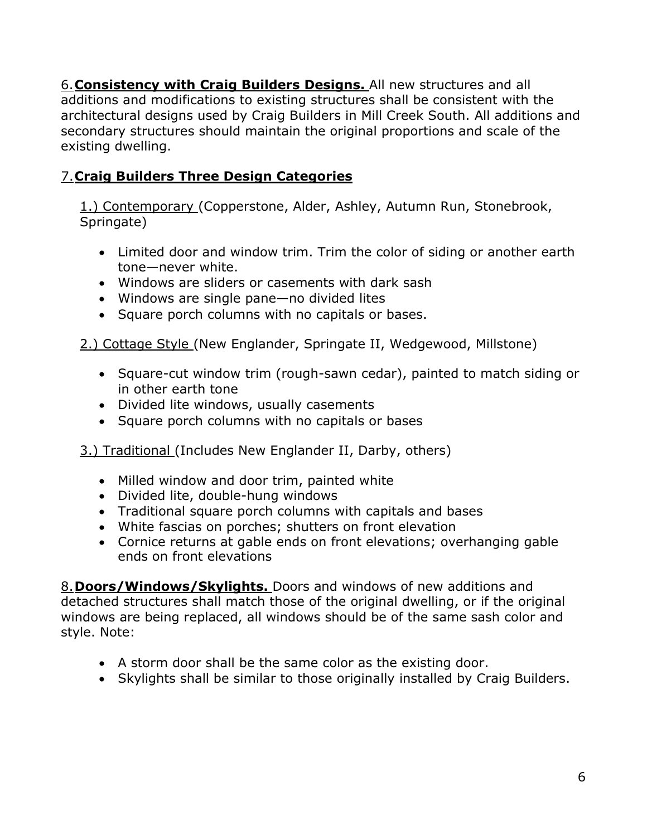6.**Consistency with Craig Builders Designs.** All new structures and all additions and modifications to existing structures shall be consistent with the architectural designs used by Craig Builders in Mill Creek South. All additions and secondary structures should maintain the original proportions and scale of the existing dwelling.

# 7.**Craig Builders Three Design Categories**

1.) Contemporary (Copperstone, Alder, Ashley, Autumn Run, Stonebrook, Springate)

- Limited door and window trim. Trim the color of siding or another earth tone—never white.
- Windows are sliders or casements with dark sash
- Windows are single pane—no divided lites
- Square porch columns with no capitals or bases.

2.) Cottage Style (New Englander, Springate II, Wedgewood, Millstone)

- Square-cut window trim (rough-sawn cedar), painted to match siding or in other earth tone
- Divided lite windows, usually casements
- Square porch columns with no capitals or bases

3.) Traditional (Includes New Englander II, Darby, others)

- Milled window and door trim, painted white
- Divided lite, double-hung windows
- Traditional square porch columns with capitals and bases
- White fascias on porches; shutters on front elevation
- Cornice returns at gable ends on front elevations; overhanging gable ends on front elevations

8.**Doors/Windows/Skylights.** Doors and windows of new additions and detached structures shall match those of the original dwelling, or if the original windows are being replaced, all windows should be of the same sash color and style. Note:

- A storm door shall be the same color as the existing door.
- Skylights shall be similar to those originally installed by Craig Builders.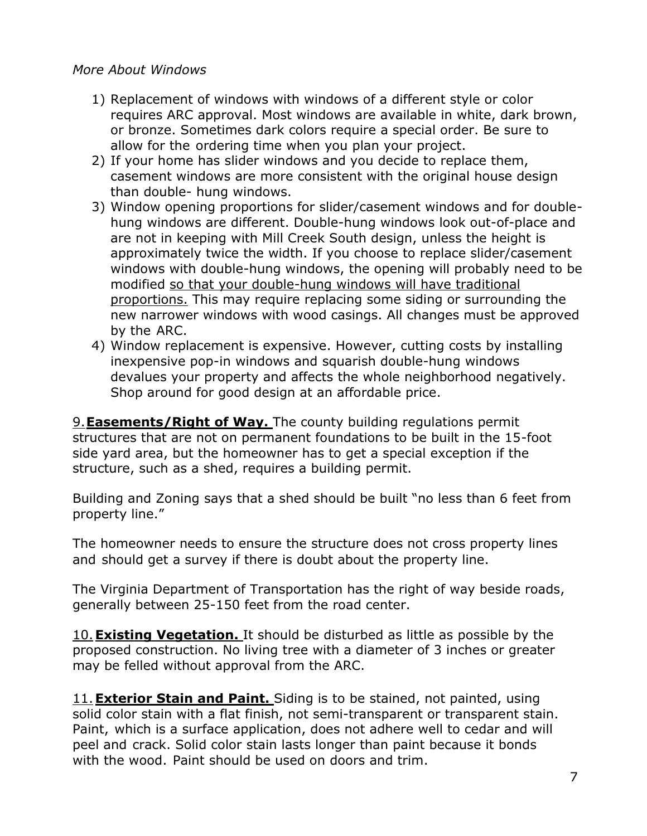#### *More About Windows*

- 1) Replacement of windows with windows of a different style or color requires ARC approval. Most windows are available in white, dark brown, or bronze. Sometimes dark colors require a special order. Be sure to allow for the ordering time when you plan your project.
- 2) If your home has slider windows and you decide to replace them, casement windows are more consistent with the original house design than double- hung windows.
- 3) Window opening proportions for slider/casement windows and for doublehung windows are different. Double-hung windows look out-of-place and are not in keeping with Mill Creek South design, unless the height is approximately twice the width. If you choose to replace slider/casement windows with double-hung windows, the opening will probably need to be modified so that your double-hung windows will have traditional proportions. This may require replacing some siding or surrounding the new narrower windows with wood casings. All changes must be approved by the ARC.
- 4) Window replacement is expensive. However, cutting costs by installing inexpensive pop-in windows and squarish double-hung windows devalues your property and affects the whole neighborhood negatively. Shop around for good design at an affordable price.

9.**Easements/Right of Way.** The county building regulations permit structures that are not on permanent foundations to be built in the 15-foot side yard area, but the homeowner has to get a special exception if the structure, such as a shed, requires a building permit.

Building and Zoning says that a shed should be built "no less than 6 feet from property line."

The homeowner needs to ensure the structure does not cross property lines and should get a survey if there is doubt about the property line.

The Virginia Department of Transportation has the right of way beside roads, generally between 25-150 feet from the road center.

10.**Existing Vegetation.** It should be disturbed as little as possible by the proposed construction. No living tree with a diameter of 3 inches or greater may be felled without approval from the ARC.

11.**Exterior Stain and Paint.** Siding is to be stained, not painted, using solid color stain with a flat finish, not semi-transparent or transparent stain. Paint, which is a surface application, does not adhere well to cedar and will peel and crack. Solid color stain lasts longer than paint because it bonds with the wood. Paint should be used on doors and trim.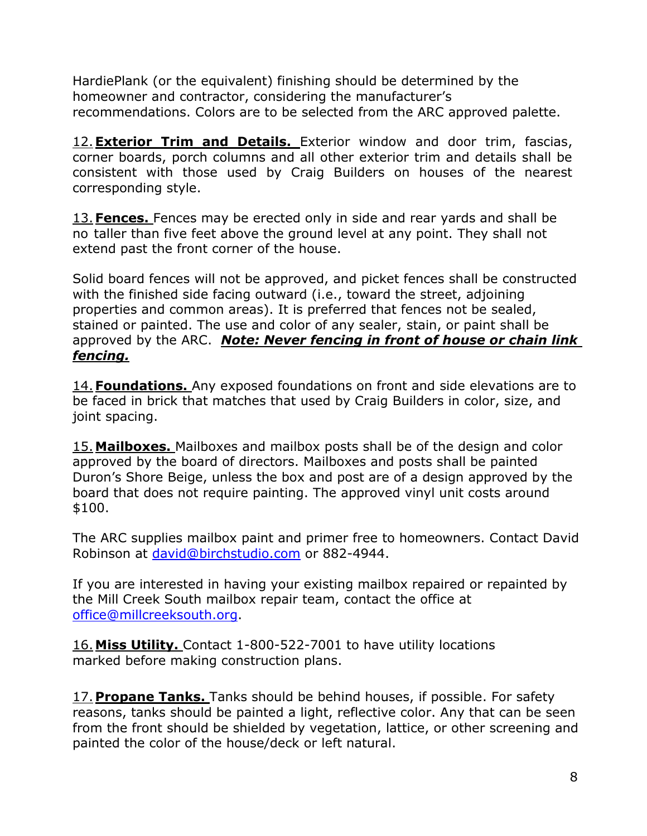HardiePlank (or the equivalent) finishing should be determined by the homeowner and contractor, considering the manufacturer's recommendations. Colors are to be selected from the ARC approved palette.

12.**Exterior Trim and Details.** Exterior window and door trim, fascias, corner boards, porch columns and all other exterior trim and details shall be consistent with those used by Craig Builders on houses of the nearest corresponding style.

13.**Fences.** Fences may be erected only in side and rear yards and shall be no taller than five feet above the ground level at any point. They shall not extend past the front corner of the house.

Solid board fences will not be approved, and picket fences shall be constructed with the finished side facing outward (i.e., toward the street, adjoining properties and common areas). It is preferred that fences not be sealed, stained or painted. The use and color of any sealer, stain, or paint shall be approved by the ARC. *Note: Never fencing in front of house or chain link fencing.*

14.**Foundations.** Any exposed foundations on front and side elevations are to be faced in brick that matches that used by Craig Builders in color, size, and joint spacing.

15.**Mailboxes.** Mailboxes and mailbox posts shall be of the design and color approved by the board of directors. Mailboxes and posts shall be painted Duron's Shore Beige, unless the box and post are of a design approved by the board that does not require painting. The approved vinyl unit costs around \$100.

The ARC supplies mailbox paint and primer free to homeowners. Contact David Robinson at [david@birchstudio.com](mailto:david@birchstudio.com) or 882-4944.

If you are interested in having your existing mailbox repaired or repainted by the Mill Creek South mailbox repair team, contact the office at [office@millcreeksouth.org.](mailto:office@millcreeksouth.org)

16.**Miss Utility.** Contact 1-800-522-7001 to have utility locations marked before making construction plans.

17. **Propane Tanks.** Tanks should be behind houses, if possible. For safety reasons, tanks should be painted a light, reflective color. Any that can be seen from the front should be shielded by vegetation, lattice, or other screening and painted the color of the house/deck or left natural.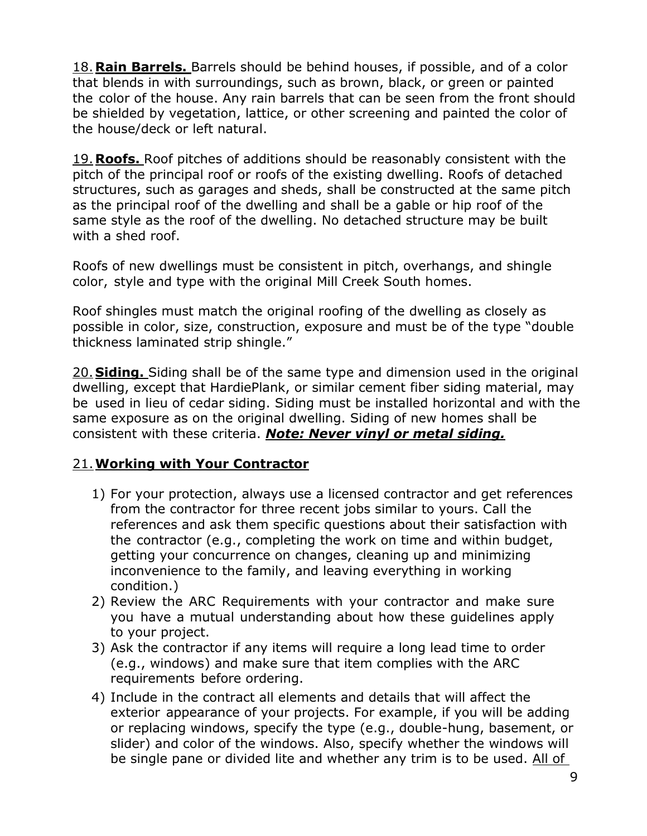18.**Rain Barrels.** Barrels should be behind houses, if possible, and of a color that blends in with surroundings, such as brown, black, or green or painted the color of the house. Any rain barrels that can be seen from the front should be shielded by vegetation, lattice, or other screening and painted the color of the house/deck or left natural.

19.**Roofs.** Roof pitches of additions should be reasonably consistent with the pitch of the principal roof or roofs of the existing dwelling. Roofs of detached structures, such as garages and sheds, shall be constructed at the same pitch as the principal roof of the dwelling and shall be a gable or hip roof of the same style as the roof of the dwelling. No detached structure may be built with a shed roof.

Roofs of new dwellings must be consistent in pitch, overhangs, and shingle color, style and type with the original Mill Creek South homes.

Roof shingles must match the original roofing of the dwelling as closely as possible in color, size, construction, exposure and must be of the type "double thickness laminated strip shingle."

20. **Siding.** Siding shall be of the same type and dimension used in the original dwelling, except that HardiePlank, or similar cement fiber siding material, may be used in lieu of cedar siding. Siding must be installed horizontal and with the same exposure as on the original dwelling. Siding of new homes shall be consistent with these criteria. *Note: Never vinyl or metal siding.*

### 21.**Working with Your Contractor**

- 1) For your protection, always use a licensed contractor and get references from the contractor for three recent jobs similar to yours. Call the references and ask them specific questions about their satisfaction with the contractor (e.g., completing the work on time and within budget, getting your concurrence on changes, cleaning up and minimizing inconvenience to the family, and leaving everything in working condition.)
- 2) Review the ARC Requirements with your contractor and make sure you have a mutual understanding about how these guidelines apply to your project.
- 3) Ask the contractor if any items will require a long lead time to order (e.g., windows) and make sure that item complies with the ARC requirements before ordering.
- 4) Include in the contract all elements and details that will affect the exterior appearance of your projects. For example, if you will be adding or replacing windows, specify the type (e.g., double-hung, basement, or slider) and color of the windows. Also, specify whether the windows will be single pane or divided lite and whether any trim is to be used. All of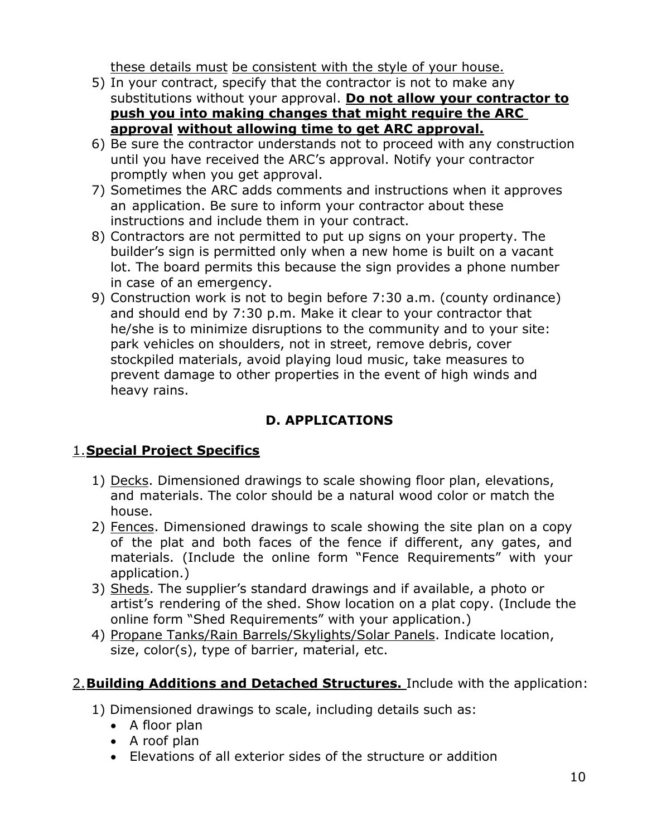these details must be consistent with the style of your house.

- 5) In your contract, specify that the contractor is not to make any substitutions without your approval. **Do not allow your contractor to push you into making changes that might require the ARC approval without allowing time to get ARC approval.**
- 6) Be sure the contractor understands not to proceed with any construction until you have received the ARC's approval. Notify your contractor promptly when you get approval.
- 7) Sometimes the ARC adds comments and instructions when it approves an application. Be sure to inform your contractor about these instructions and include them in your contract.
- 8) Contractors are not permitted to put up signs on your property. The builder's sign is permitted only when a new home is built on a vacant lot. The board permits this because the sign provides a phone number in case of an emergency.
- 9) Construction work is not to begin before 7:30 a.m. (county ordinance) and should end by 7:30 p.m. Make it clear to your contractor that he/she is to minimize disruptions to the community and to your site: park vehicles on shoulders, not in street, remove debris, cover stockpiled materials, avoid playing loud music, take measures to prevent damage to other properties in the event of high winds and heavy rains.

# **D. APPLICATIONS**

## 1.**Special Project Specifics**

- 1) Decks. Dimensioned drawings to scale showing floor plan, elevations, and materials. The color should be a natural wood color or match the house.
- 2) Fences. Dimensioned drawings to scale showing the site plan on a copy of the plat and both faces of the fence if different, any gates, and materials. (Include the online form "Fence Requirements" with your application.)
- 3) Sheds. The supplier's standard drawings and if available, a photo or artist's rendering of the shed. Show location on a plat copy. (Include the online form "Shed Requirements" with your application.)
- 4) Propane Tanks/Rain Barrels/Skylights/Solar Panels. Indicate location, size, color(s), type of barrier, material, etc.

## 2.**Building Additions and Detached Structures.** Include with the application:

- 1) Dimensioned drawings to scale, including details such as:
	- A floor plan
	- A roof plan
	- Elevations of all exterior sides of the structure or addition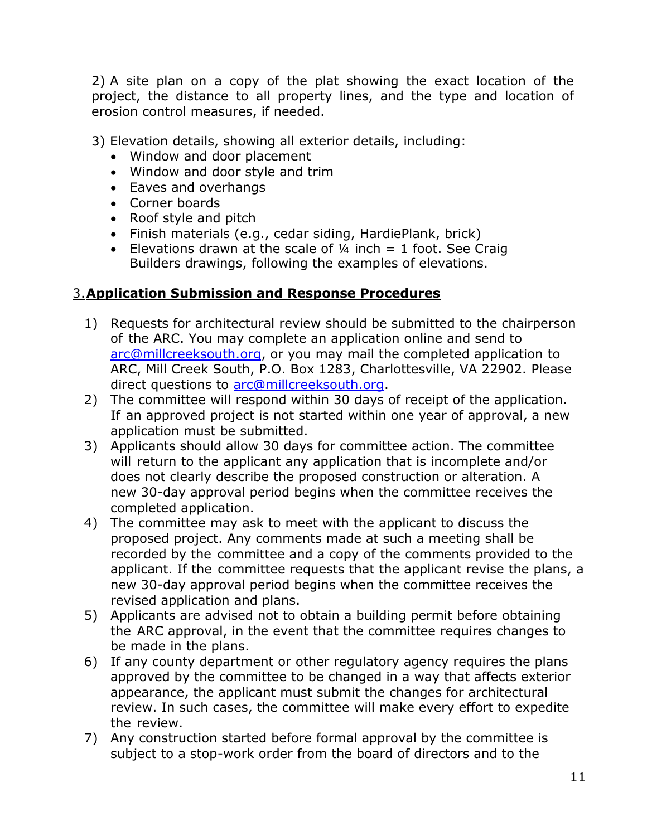2) A site plan on a copy of the plat showing the exact location of the project, the distance to all property lines, and the type and location of erosion control measures, if needed.

3) Elevation details, showing all exterior details, including:

- Window and door placement
- Window and door style and trim
- Eaves and overhangs
- Corner boards
- Roof style and pitch
- Finish materials (e.g., cedar siding, HardiePlank, brick)
- Elevations drawn at the scale of  $\frac{1}{4}$  inch = 1 foot. See Craig Builders drawings, following the examples of elevations.

### 3.**Application Submission and Response Procedures**

- 1) Requests for architectural review should be submitted to the chairperson of the ARC. You may complete an application online and send to [arc@millcreeksouth.org,](mailto:arc@millcreeksouth.org) or you may mail the completed application to ARC, Mill Creek South, P.O. Box 1283, Charlottesville, VA 22902. Please direct questions to [arc@millcreeksouth.org.](mailto:arc@millcreeksouth.org)
- 2) The committee will respond within 30 days of receipt of the application. If an approved project is not started within one year of approval, a new application must be submitted.
- 3) Applicants should allow 30 days for committee action. The committee will return to the applicant any application that is incomplete and/or does not clearly describe the proposed construction or alteration. A new 30-day approval period begins when the committee receives the completed application.
- 4) The committee may ask to meet with the applicant to discuss the proposed project. Any comments made at such a meeting shall be recorded by the committee and a copy of the comments provided to the applicant. If the committee requests that the applicant revise the plans, a new 30-day approval period begins when the committee receives the revised application and plans.
- 5) Applicants are advised not to obtain a building permit before obtaining the ARC approval, in the event that the committee requires changes to be made in the plans.
- 6) If any county department or other regulatory agency requires the plans approved by the committee to be changed in a way that affects exterior appearance, the applicant must submit the changes for architectural review. In such cases, the committee will make every effort to expedite the review.
- 7) Any construction started before formal approval by the committee is subject to a stop-work order from the board of directors and to the